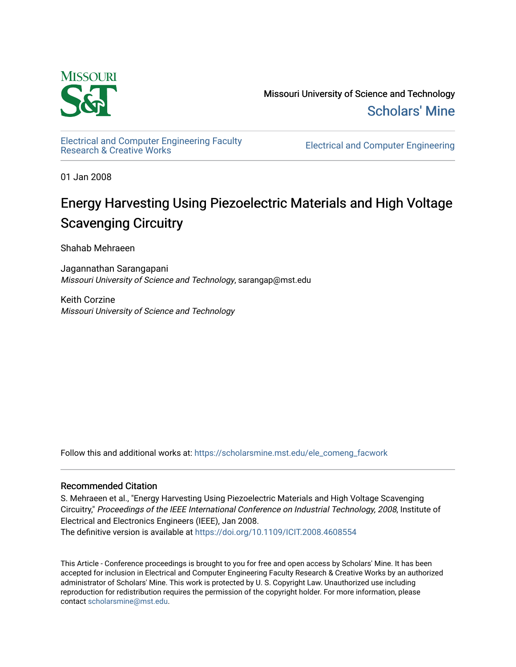

Missouri University of Science and Technology [Scholars' Mine](https://scholarsmine.mst.edu/) 

[Electrical and Computer Engineering Faculty](https://scholarsmine.mst.edu/ele_comeng_facwork)

**Electrical and Computer Engineering** 

01 Jan 2008

## Energy Harvesting Using Piezoelectric Materials and High Voltage Scavenging Circuitry

Shahab Mehraeen

Jagannathan Sarangapani Missouri University of Science and Technology, sarangap@mst.edu

Keith Corzine Missouri University of Science and Technology

Follow this and additional works at: [https://scholarsmine.mst.edu/ele\\_comeng\\_facwork](https://scholarsmine.mst.edu/ele_comeng_facwork?utm_source=scholarsmine.mst.edu%2Fele_comeng_facwork%2F1012&utm_medium=PDF&utm_campaign=PDFCoverPages)

## Recommended Citation

S. Mehraeen et al., "Energy Harvesting Using Piezoelectric Materials and High Voltage Scavenging Circuitry," Proceedings of the IEEE International Conference on Industrial Technology, 2008, Institute of Electrical and Electronics Engineers (IEEE), Jan 2008.

The definitive version is available at <https://doi.org/10.1109/ICIT.2008.4608554>

This Article - Conference proceedings is brought to you for free and open access by Scholars' Mine. It has been accepted for inclusion in Electrical and Computer Engineering Faculty Research & Creative Works by an authorized administrator of Scholars' Mine. This work is protected by U. S. Copyright Law. Unauthorized use including reproduction for redistribution requires the permission of the copyright holder. For more information, please contact [scholarsmine@mst.edu](mailto:scholarsmine@mst.edu).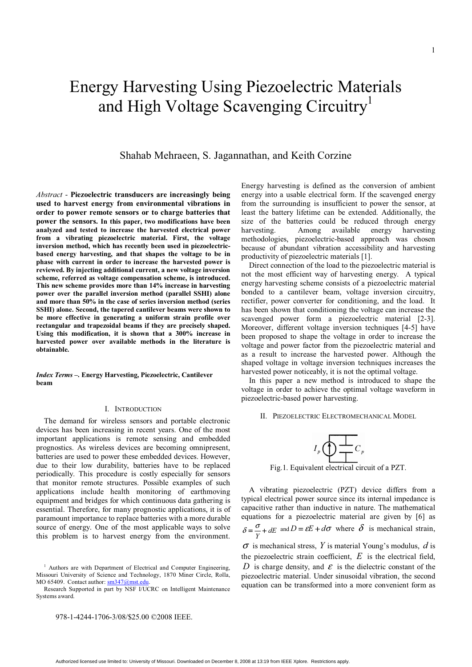# Energy Harvesting Using Piezoelectric Materials and High Voltage Scavenging Circuitry<sup>1</sup>

## Shahab Mehraeen, S. Jagannathan, and Keith Corzine

*Abstract* - **Piezoelectric transducers are increasingly being used to harvest energy from environmental vibrations in order to power remote sensors or to charge batteries that power the sensors. In this paper, two modifications have been analyzed and tested to increase the harvested electrical power from a vibrating piezoelectric material. First, the voltage inversion method, which has recently been used in piezoelectricbased energy harvesting, and that shapes the voltage to be in phase with current in order to increase the harvested power is reviewed. By injecting additional current, a new voltage inversion scheme, referred as voltage compensation scheme, is introduced. This new scheme provides more than 14% increase in harvesting power over the parallel inversion method (parallel SSHI) alone and more than 50% in the case of series inversion method (series SSHI) alone. Second, the tapered cantilever beams were shown to be more effective in generating a uniform strain profile over rectangular and trapezoidal beams if they are precisely shaped. Using this modification, it is shown that a 300% increase in harvested power over available methods in the literature is obtainable.** 

*Index Terms* **–. Energy Harvesting, Piezoelectric, Cantilever beam**

#### I. INTRODUCTION

 The demand for wireless sensors and portable electronic devices has been increasing in recent years. One of the most important applications is remote sensing and embedded prognostics. As wireless devices are becoming omnipresent, batteries are used to power these embedded devices. However, due to their low durability, batteries have to be replaced periodically. This procedure is costly especially for sensors that monitor remote structures. Possible examples of such applications include health monitoring of earthmoving equipment and bridges for which continuous data gathering is essential. Therefore, for many prognostic applications, it is of paramount importance to replace batteries with a more durable source of energy. One of the most applicable ways to solve this problem is to harvest energy from the environment.

978-1-4244-1706-3/08/\$25.00 ©2008 IEEE.

Energy harvesting is defined as the conversion of ambient energy into a usable electrical form. If the scavenged energy from the surrounding is insufficient to power the sensor, at least the battery lifetime can be extended. Additionally, the size of the batteries could be reduced through energy harvesting. Among available energy harvesting methodologies, piezoelectric-based approach was chosen because of abundant vibration accessibility and harvesting productivity of piezoelectric materials [1].

 Direct connection of the load to the piezoelectric material is not the most efficient way of harvesting energy. A typical energy harvesting scheme consists of a piezoelectric material bonded to a cantilever beam, voltage inversion circuitry, rectifier, power converter for conditioning, and the load. It has been shown that conditioning the voltage can increase the scavenged power form a piezoelectric material [2-3]. Moreover, different voltage inversion techniques [4-5] have been proposed to shape the voltage in order to increase the voltage and power factor from the piezoelectric material and as a result to increase the harvested power. Although the shaped voltage in voltage inversion techniques increases the harvested power noticeably, it is not the optimal voltage.

In this paper a new method is introduced to shape the voltage in order to achieve the optimal voltage waveform in piezoelectric-based power harvesting.

II. PIEZOELECTRIC ELECTROMECHANICAL MODEL

$$
I_p \bigoplus \leftarrow C_p
$$

Fig.1. Equivalent electrical circuit of a PZT.

A vibrating piezoelectric (PZT) device differs from a typical electrical power source since its internal impedance is capacitive rather than inductive in nature. The mathematical equations for a piezoelectric material are given by [6] as  $\delta = \frac{\sigma}{Y} + dE$  and  $D = \varepsilon E + d\sigma$  where  $\delta$  is mechanical strain, <sup>σ</sup> is mechanical stress, *Y* is material Young's modulus, *d* is the piezoelectric strain coefficient, *E* is the electrical field, *D* is charge density, and  $\varepsilon$  is the dielectric constant of the piezoelectric material. Under sinusoidal vibration, the second equation can be transformed into a more convenient form as

<sup>&</sup>lt;sup>1</sup> Authors are with Department of Electrical and Computer Engineering, Missouri University of Science and Technology, 1870 Miner Circle, Rolla, MO 65409. Contact author: sm347@mst.edu

Research Supported in part by NSF I/UCRC on Intelligent Maintenance Systems award.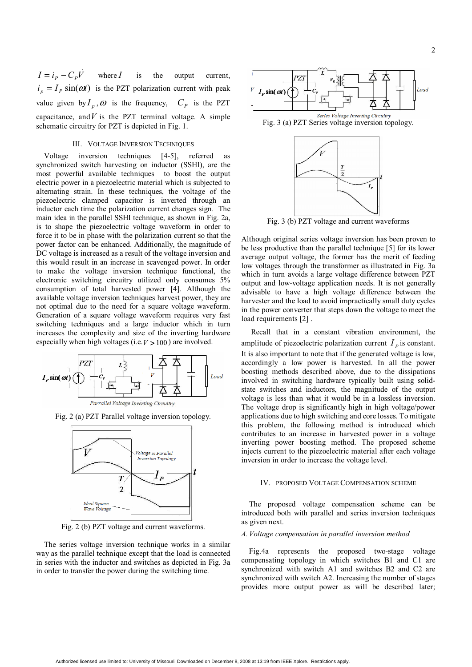$I = i_p - C_p V$  where *I* is the output current,  $i_n = I_p \sin(\omega t)$  is the PZT polarization current with peak value given by  $I_p$ ,  $\omega$  is the frequency,  $C_p$  is the PZT capacitance, and  $V$  is the PZT terminal voltage. A simple schematic circuitry for PZT is depicted in Fig. 1.

#### III. VOLTAGE INVERSION TECHNIQUES

 Voltage inversion techniques [4-5], referred as synchronized switch harvesting on inductor (SSHI), are the most powerful available techniques to boost the output electric power in a piezoelectric material which is subjected to alternating strain. In these techniques, the voltage of the piezoelectric clamped capacitor is inverted through an inductor each time the polarization current changes sign. The main idea in the parallel SSHI technique, as shown in Fig. 2a, is to shape the piezoelectric voltage waveform in order to force it to be in phase with the polarization current so that the power factor can be enhanced. Additionally, the magnitude of DC voltage is increased as a result of the voltage inversion and this would result in an increase in scavenged power. In order to make the voltage inversion technique functional, the electronic switching circuitry utilized only consumes 5% consumption of total harvested power [4]. Although the available voltage inversion techniques harvest power, they are not optimal due to the need for a square voltage waveform. Generation of a square voltage waveform requires very fast switching techniques and a large inductor which in turn increases the complexity and size of the inverting hardware especially when high voltages (i.e.  $V > 100$ ) are involved.



Fig. 2 (a) PZT Parallel voltage inversion topology.



Fig. 2 (b) PZT voltage and current waveforms.

The series voltage inversion technique works in a similar way as the parallel technique except that the load is connected in series with the inductor and switches as depicted in Fig. 3a in order to transfer the power during the switching time.



Fig. 3 (b) PZT voltage and current waveforms

Although original series voltage inversion has been proven to be less productive than the parallel technique [5] for its lower average output voltage, the former has the merit of feeding low voltages through the transformer as illustrated in Fig. 3a which in turn avoids a large voltage difference between PZT output and low-voltage application needs. It is not generally advisable to have a high voltage difference between the harvester and the load to avoid impractically small duty cycles in the power converter that steps down the voltage to meet the load requirements [2].

 Recall that in a constant vibration environment, the amplitude of piezoelectric polarization current  $I<sub>p</sub>$  is constant. It is also important to note that if the generated voltage is low, accordingly a low power is harvested. In all the power boosting methods described above, due to the dissipations involved in switching hardware typically built using solidstate switches and inductors, the magnitude of the output voltage is less than what it would be in a lossless inversion. The voltage drop is significantly high in high voltage/power applications due to high switching and core losses. To mitigate this problem, the following method is introduced which contributes to an increase in harvested power in a voltage inverting power boosting method. The proposed scheme injects current to the piezoelectric material after each voltage inversion in order to increase the voltage level.

#### IV. PROPOSED VOLTAGE COMPENSATION SCHEME

The proposed voltage compensation scheme can be introduced both with parallel and series inversion techniques as given next.

#### *A. Voltage compensation in parallel inversion method*

 Fig.4a represents the proposed two-stage voltage compensating topology in which switches B1 and C1 are synchronized with switch A1 and switches B2 and C2 are synchronized with switch A2. Increasing the number of stages provides more output power as will be described later;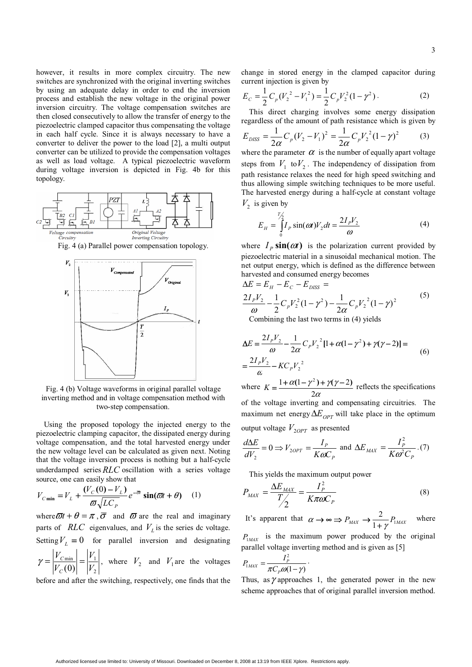however, it results in more complex circuitry. The new switches are synchronized with the original inverting switches by using an adequate delay in order to end the inversion process and establish the new voltage in the original power inversion circuitry. The voltage compensation switches are then closed consecutively to allow the transfer of energy to the piezoelectric clamped capacitor thus compensating the voltage in each half cycle. Since it is always necessary to have a converter to deliver the power to the load [2], a multi output converter can be utilized to provide the compensation voltages as well as load voltage. A typical piezoelectric waveform during voltage inversion is depicted in Fig. 4b for this topology.



Fig. 4 (a) Parallel power compensation topology.



Fig. 4 (b) Voltage waveforms in original parallel voltage inverting method and in voltage compensation method with two-step compensation.

 Using the proposed topology the injected energy to the piezoelectric clamping capacitor, the dissipated energy during voltage compensation, and the total harvested energy under the new voltage level can be calculated as given next. Noting that the voltage inversion process is nothing but a half-cycle underdamped series *RLC* oscillation with a series voltage source, one can easily show that

$$
V_{C\min} = V_L + \frac{(V_C(0) - V_L)}{\varpi \sqrt{LC_P}} e^{-\overline{\varpi}} \sin(\varpi t + \theta) \quad (1)
$$

where  $\overline{\omega}t + \theta = \pi$ ,  $\overline{\sigma}$  and  $\overline{\omega}$  are the real and imaginary parts of  $RLC$  eigenvalues, and  $V<sub>L</sub>$  is the series dc voltage. Setting  $V_L = 0$  for parallel inversion and designating 2  $\frac{\min}{\left| \right|}$   $\frac{\left| \right|}{\left| \right|}$ (0) *V V V V C*  $\gamma = \left|\frac{V_{\text{Cmin}}}{V_{\text{C}}(0)}\right| = \left|\frac{V_{\text{1}}}{V_{\text{C}}}\right|$ , where  $V_{\text{2}}$  and  $V_{\text{1}}$  are the voltages

before and after the switching, respectively, one finds that the

change in stored energy in the clamped capacitor during current injection is given by

$$
E_C = \frac{1}{2} C_p (V_2^2 - V_1^2) = \frac{1}{2} C_p V_2^2 (1 - \gamma^2).
$$
 (2)

This direct charging involves some energy dissipation regardless of the amount of path resistance which is given by

$$
E_{\text{DISS}} = \frac{1}{2\alpha} C_p (V_2 - V_1)^2 = \frac{1}{2\alpha} C_p V_2^2 (1 - \gamma)^2 \tag{3}
$$

where the parameter  $\alpha$  is the number of equally apart voltage steps from  $V_1$  to  $V_2$ . The independency of dissipation from path resistance relaxes the need for high speed switching and thus allowing simple switching techniques to be more useful. The harvested energy during a half-cycle at constant voltage  $V_2$  is given by

$$
E_H = \int_{0}^{T/2} I_P \sin(\omega t) V_2 dt = \frac{2I_P V_2}{\omega}
$$
 (4)

where  $I_p \sin(\omega t)$  is the polarization current provided by piezoelectric material in a sinusoidal mechanical motion. The net output energy, which is defined as the difference between harvested and consumed energy becomes

$$
\Delta E = E_H - E_C - E_{DISS} =
$$
  
\n
$$
\frac{2I_pV_2}{\omega} - \frac{1}{2}C_pV_2^2(1 - \gamma^2) - \frac{1}{2\alpha}C_pV_2^2(1 - \gamma)^2
$$
 (5)

Combining the last two terms in (4) yields

$$
\Delta E = \frac{2I_pV_2}{\omega} - \frac{1}{2\alpha}C_pV_2^2[1 + \alpha(1 - \gamma^2) + \gamma(\gamma - 2)] =
$$
  
\n
$$
= \frac{2I_pV_2}{\alpha} - KC_pV_2^2
$$
  
\nwhere  $K = \frac{1 + \alpha(1 - \gamma^2) + \gamma(\gamma - 2)}{2\alpha}$  reflects the specifications

of the voltage inverting and compensating circuitries. The maximum net energy  $\Delta E_{OPT}$  will take place in the optimum output voltage  $V_{2OPT}$  as presented

$$
\frac{d\Delta E}{dV_2} = 0 \Rightarrow V_{2OPT} = \frac{I_p}{K\omega C_p} \text{ and } \Delta E_{MAX} = \frac{I_p^2}{K\omega^2 C_p}.
$$
 (7)

This yields the maximum output power

$$
P_{MAX} = \frac{\Delta E_{MAX}}{T/2} = \frac{I_P^2}{K\pi\omega C_P}
$$
 (8)

It's apparent that  $\alpha \rightarrow \infty \Rightarrow P_{MAX} \rightarrow \frac{2}{1+\gamma} P_{MAX}$  $\alpha \to \infty \implies P_{MAX} \to \frac{2}{1+\gamma} P_{MAX}$  where

 $P_{1MAX}$  is the maximum power produced by the original parallel voltage inverting method and is given as [5]

$$
P_{1MAX} = \frac{I_P^2}{\pi C_P \omega (1 - \gamma)}
$$

Thus, as  $\gamma$  approaches 1, the generated power in the new scheme approaches that of original parallel inversion method.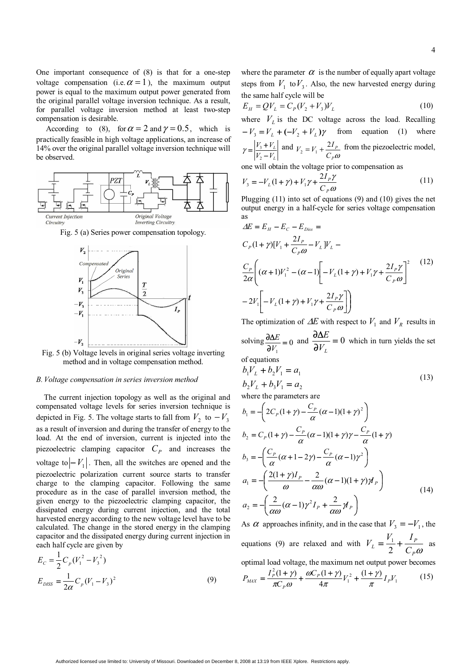One important consequence of (8) is that for a one-step voltage compensation (i.e.  $\alpha = 1$ ), the maximum output power is equal to the maximum output power generated from the original parallel voltage inversion technique. As a result, for parallel voltage inversion method at least two-step compensation is desirable.

According to (8), for  $\alpha = 2$  and  $\gamma = 0.5$ , which is practically feasible in high voltage applications, an increase of 14% over the original parallel voltage inversion technique will be observed.



Fig. 5 (a) Series power compensation topology.



Fig. 5 (b) Voltage levels in original series voltage inverting method and in voltage compensation method.

#### *B. Voltage compensation in series inversion method*

 The current injection topology as well as the original and compensated voltage levels for series inversion technique is depicted in Fig. 5. The voltage starts to fall from  $V_2$  to  $-V_3$ as a result of inversion and during the transfer of energy to the load. At the end of inversion, current is injected into the piezoelectric clamping capacitor  $C_p$  and increases the voltage to  $\left| -V_1 \right|$ . Then, all the switches are opened and the piezoelectric polarization current source starts to transfer charge to the clamping capacitor. Following the same procedure as in the case of parallel inversion method, the given energy to the piezoelectric clamping capacitor, the dissipated energy during current injection, and the total harvested energy according to the new voltage level have to be calculated. The change in the stored energy in the clamping capacitor and the dissipated energy during current injection in each half cycle are given by

$$
E_C = \frac{1}{2} C_p (V_1^2 - V_3^2)
$$
  
\n
$$
E_{DISS} = \frac{1}{2\alpha} C_p (V_1 - V_3)^2
$$
\n(9)

where the parameter  $\alpha$  is the number of equally apart voltage steps from  $V_1$  to  $V_3$ . Also, the new harvested energy during the same half cycle will be

$$
E_H = QV_L = C_P (V_2 + V_3) V_L
$$
\n(10)

where  $V<sub>L</sub>$  is the DC voltage across the load. Recalling  $-V_3 = V_L + (-V_2 + V_L)\gamma$  from equation (1) where *L L*  $V_2 - V$  $V_3 + V$  $=\frac{V_{3}+V_{2}}{V_{2}-V_{3}}$ 2  $\gamma = \left| \frac{V_3 + V_L}{V_L + V_L} \right|$  and *<sup>P</sup>*<sup>ω</sup> *P*  $V_2 = V_1 + \frac{2I_p}{C_p \omega}$  from the piezoelectric model,

one will obtain the voltage prior to compensation as

$$
V_3 = -V_L(1+\gamma) + V_1\gamma + \frac{2I_p\gamma}{C_p\omega}
$$
 (11)

Plugging (11) into set of equations (9) and (10) gives the net output energy in a half-cycle for series voltage compensation as

$$
\Delta E = E_H - E_C - E_{Diss} =
$$
\n
$$
C_P (1 + \gamma)[V_1 + \frac{2I_P}{C_P \omega} - V_L]V_L -
$$
\n
$$
\frac{C_P}{2\alpha} \left( (\alpha + 1)V_1^2 - (\alpha - 1) \left[ -V_L (1 + \gamma) + V_1 \gamma + \frac{2I_P \gamma}{C_P \omega} \right]^2 - 2V_1 \left[ -V_L (1 + \gamma) + V_1 \gamma + \frac{2I_P \gamma}{C_P \omega} \right] \right)
$$
\n(12)

The optimization of  $\Delta E$  with respect to  $V_1$  and  $V_R$  results in

solving  $\frac{0\Delta E}{2V} = 0$  $\frac{\partial \Delta E}{\partial V_1}$  = *V*  $\frac{E}{m} = 0$  and  $\frac{\partial \Delta E}{\partial x} = 0$ ∂ ∂Δ  $V_L$  $\frac{E}{\epsilon}$  = 0 which in turn yields the set of equations

$$
b_1 V_L + b_2 V_1 = a_1
$$
  
\n
$$
b_2 V_L + b_3 V_1 = a_2
$$
\n(13)

where the parameters are

$$
b_1 = -\left(2C_P(1+\gamma) - \frac{C_P}{\alpha}(\alpha - 1)(1+\gamma)^2\right)
$$
  
\n
$$
b_2 = C_P(1+\gamma) - \frac{C_P}{\alpha}(\alpha - 1)(1+\gamma)\gamma - \frac{C_P}{\alpha}(1+\gamma)
$$
  
\n
$$
b_3 = -\left(\frac{C_P}{\alpha}(\alpha + 1 - 2\gamma) - \frac{C_P}{\alpha}(\alpha - 1)\gamma^2\right)
$$
  
\n
$$
a_1 = -\left(\frac{2(1+\gamma)I_P}{\omega} - \frac{2}{\alpha\omega}(\alpha - 1)(1+\gamma)M_P\right)
$$
  
\n
$$
a_2 = -\left(\frac{2}{\alpha\omega}(\alpha - 1)\gamma^2I_P + \frac{2}{\alpha\omega}M_P\right)
$$
\n(14)

As  $\alpha$  approaches infinity, and in the case that  $V_3 = -V_1$ , the equations (9) are relaxed and with  $\partial$  $V_{L} = \frac{V_{1}}{2} + \frac{I_{F}}{C_{P}}$  $V_{L} = \frac{V_{1}}{2} + \frac{I}{2}$ 2  $\frac{1}{\epsilon}$  +  $\frac{I_p}{\epsilon}$  as optimal load voltage, the maximum net output power becomes

 $I^2$ *I* 

$$
P_{MAX} = \frac{I_P^2(1+\gamma)}{\pi C_P \omega} + \frac{\omega C_P(1+\gamma)}{4\pi} V_1^2 + \frac{(1+\gamma)}{\pi} I_P V_1 \tag{15}
$$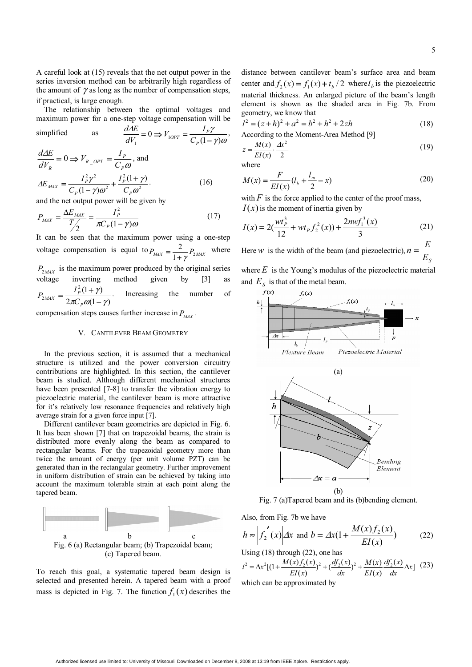A careful look at (15) reveals that the net output power in the series inversion method can be arbitrarily high regardless of the amount of  $\gamma$  as long as the number of compensation steps, if practical, is large enough.

 The relationship between the optimal voltages and maximum power for a one-step voltage compensation will be

simplified as 
$$
\frac{d\Delta E}{dV_1} = 0 \Rightarrow V_{1OPT} = \frac{I_p \gamma}{C_p (1 - \gamma)\omega},
$$

$$
\frac{d\Delta E}{dV_R} = 0 \Rightarrow V_{R\_OPT} = \frac{I_p}{C_p \omega}, \text{ and}
$$

$$
\Delta E_{MAX} = \frac{I_p^2 \gamma^2}{C_p (1 - \gamma)\omega^2} + \frac{I_p^2 (1 + \gamma)}{C_p \omega^2}.
$$
(16)

and the net output power will be given by

$$
P_{MAX} = \frac{\Delta E_{MAX}}{T/2} = \frac{I_P^2}{\pi C_P (1 - \gamma)\omega}
$$
(17)

It can be seen that the maximum power using a one-step voltage compensation is equal to  $P_{MAX} = \frac{2}{1 + \gamma} P_{2MAX}$  where  $P_{2MAX}$  is the maximum power produced by the original series voltage inverting method given by [3] as  $2\pi C_p \omega(1 - \gamma)$  $L_p^2(1 + \gamma)$  $2^{MAX}$  –  $2\pi C_p \omega(1-\gamma)$ γ  $=\frac{I_P^2(1+\gamma)}{2\pi C_P\omega(1-\gamma)}$ *P*  $_{MAX}$  =  $\frac{I_P}{2\pi C}$  $P_{2MAX} = \frac{I_P^2(1+\gamma)}{2(1+\gamma)}$ . Increasing the number of

compensation steps causes further increase in  $P_{\text{M4X}}$ .

#### V. CANTILEVER BEAM GEOMETRY

 In the previous section, it is assumed that a mechanical structure is utilized and the power conversion circuitry contributions are highlighted. In this section, the cantilever beam is studied. Although different mechanical structures have been presented [7-8] to transfer the vibration energy to piezoelectric material, the cantilever beam is more attractive for it's relatively low resonance frequencies and relatively high average strain for a given force input [7].

Different cantilever beam geometries are depicted in Fig. 6. It has been shown [7] that on trapezoidal beams, the strain is distributed more evenly along the beam as compared to rectangular beams. For the trapezoidal geometry more than twice the amount of energy (per unit volume PZT) can be generated than in the rectangular geometry. Further improvement in uniform distribution of strain can be achieved by taking into account the maximum tolerable strain at each point along the tapered beam.



To reach this goal, a systematic tapered beam design is selected and presented herein. A tapered beam with a proof mass is depicted in Fig. 7. The function  $f_1(x)$  describes the distance between cantilever beam's surface area and beam center and  $f_2(x) = f_1(x) + t_h/2$  where  $t_h$  is the piezoelectric material thickness. An enlarged picture of the beam's length element is shown as the shaded area in Fig. 7b. From geometry, we know that

$$
l2 = (z+h)2 + a2 = b2 + h2 + 2zh
$$
 (18)  
According to the Moment-Area Method [9]

$$
z = \frac{M(x)}{EI(x)} \cdot \frac{Ax^2}{2}
$$
 (19)

where

$$
M(x) = \frac{F}{EI(x)}(l_b + \frac{l_m}{2} - x)
$$
 (20)

with  $F$  is the force applied to the center of the proof mass,  $I(x)$  is the moment of inertia given by

$$
I(x) = 2\left(\frac{wt_p^3}{12} + wt_p f_2^2(x)\right) + \frac{2nw f_1^3(x)}{3}
$$
 (21)

Here *w* is the width of the beam (and piezoelectric),  $n = \frac{E}{E_s}$ 

where  $E$  is the Young's modulus of the piezoelectric material and  $E<sub>S</sub>$  is that of the metal beam.



Fig. 7 (a)Tapered beam and its (b)bending element.

Also, from Fig. 7b we have

$$
h \approx \left| f_2'(x) \right| \Delta x \text{ and } b = \Delta x (1 + \frac{M(x) f_2(x)}{EI(x)}) \tag{22}
$$

Using (18) through (22), one has

$$
l^{2} = \Delta x^{2} [(1 + \frac{M(x)f_{2}(x)}{EI(x)})^{2} + (\frac{df_{2}(x)}{dx})^{2} + \frac{M(x)}{EI(x)} \frac{df_{2}(x)}{dx} \Delta x] (23)
$$

which can be approximated by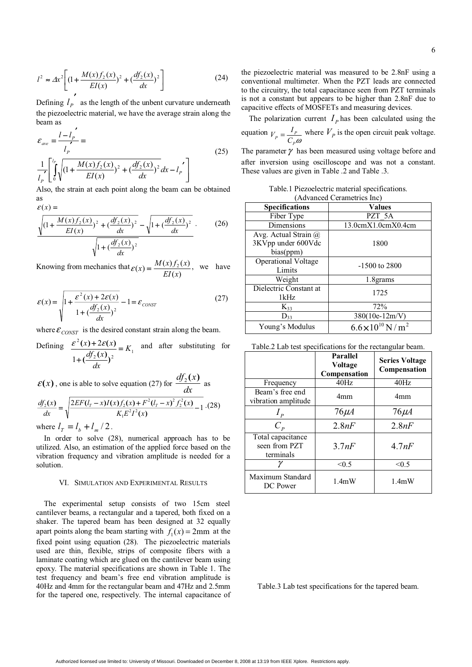$$
l^{2} \approx \Delta x^{2} \left[ \left( 1 + \frac{M(x)f_{2}(x)}{EI(x)} \right)^{2} + \left( \frac{df_{2}(x)}{dx} \right)^{2} \right]
$$
(24)

Defining  $l_p$  as the length of the unbent curvature underneath the piezoelectric material, we have the average strain along the beam as

$$
\varepsilon_{ave} = \frac{l - l_p'}{l_p} =
$$
\n
$$
\frac{1}{l_p} \left[ \int_0^{l_p} \sqrt{\left(1 + \frac{M(x)f_2(x)}{EI(x)}\right)^2 + \left(\frac{df_2(x)}{dx}\right)^2} dx - l_p' \right]
$$
\n(25)

Also, the strain at each point along the beam can be obtained as

$$
\varepsilon(x) = \frac{\sqrt{(1 + \frac{M(x)f_2(x)}{EI(x)})^2 + (\frac{df_2(x)}{dx})^2} - \sqrt{1 + (\frac{df_2(x)}{dx})^2}}{\sqrt{1 + (\frac{df_2(x)}{dx})^2}}.
$$
(26)

Knowing from mechanics that  $f(x) = \frac{M(x) f_2(x)}{EI(x)}$  $\varepsilon(x) = \frac{M(x) f_2(x)}{B(x)}$ , we have

$$
\varepsilon(x) = \sqrt{1 + \frac{\varepsilon^2(x) + 2\varepsilon(x)}{1 + (\frac{df_2(x)}{dx})^2}} - 1 = \varepsilon_{\text{consr}}
$$
(27)

where  $\mathcal{E}_{CONST}$  is the desired constant strain along the beam.

Defining 
$$
\frac{\varepsilon^2(x) + 2\varepsilon(x)}{1 + (\frac{df_2(x)}{dx})^2} = K_1
$$
 and after substituting for

 $\varepsilon$ (*x*), one is able to solve equation (27) for  $\frac{df_2(x)}{dx}$  as  $\frac{2EF(l_{T}-x)I(x)f_{2}(x)+F^{2}(l_{T}-x)^{2}f_{2}^{2}(x)}{K_{1}E^{2}I^{2}(x)}-1$  $\frac{\partial^2 f}{\partial x^2} = \sqrt{\frac{2EF(l_T - x)I(x)f_2(x) + F^2(l_T - x)^2 f_2^2(x)}{K_1 E^2 I^2(x)}}$  $K_1 E^2 I^2(x)$  $E F(l_r - x) I(x) f_2(x) + F^2 (l_r - x)^2 f_2^2(x)$ *dx*  $\frac{df_2(x)}{dt} = \frac{2EF(l_7 - x)I(x)f_2(x) + F^2(l_7 - x)^2 f_2^2(x)}{2} - 1.28$ 

where  $l_{\tau} = l_{b} + l_{m}/2$ .

 In order to solve (28), numerical approach has to be utilized. Also, an estimation of the applied force based on the vibration frequency and vibration amplitude is needed for a solution.

#### VI. SIMULATION AND EXPERIMENTAL RESULTS

 The experimental setup consists of two 15cm steel cantilever beams, a rectangular and a tapered, both fixed on a shaker. The tapered beam has been designed at 32 equally apart points along the beam starting with  $f_1(x) = 2$ mm at the fixed point using equation (28). The piezoelectric materials used are thin, flexible, strips of composite fibers with a laminate coating which are glued on the cantilever beam using epoxy. The material specifications are shown in Table 1. The test frequency and beam's free end vibration amplitude is 40Hz and 4mm for the rectangular beam and 47Hz and 2.5mm for the tapered one, respectively. The internal capacitance of the piezoelectric material was measured to be 2.8nF using a conventional multimeter. When the PZT leads are connected to the circuitry, the total capacitance seen from PZT terminals is not a constant but appears to be higher than 2.8nF due to capacitive effects of MOSFETs and measuring devices.

The polarization current  $I<sub>p</sub>$  has been calculated using the equation  $\int_P \omega$  $V_p = \frac{I_p}{C_p \omega}$  where  $V_p$  is the open circuit peak voltage.

The parameter  $\gamma$  has been measured using voltage before and after inversion using oscilloscope and was not a constant. These values are given in Table .2 and Table .3.

Table.1 Piezoelectric material specifications. (Advanced Cerametrics Inc)

| <b>Specifications</b>       | <b>Values</b>                         |  |  |  |
|-----------------------------|---------------------------------------|--|--|--|
| Fiber Type                  | PZT 5A                                |  |  |  |
| Dimensions                  | 13.0cmX1.0cmX0.4cm                    |  |  |  |
| Avg. Actual Strain $\omega$ |                                       |  |  |  |
| 3KVpp under 600Vdc          | 1800                                  |  |  |  |
| bias(ppm)                   |                                       |  |  |  |
| <b>Operational Voltage</b>  | $-1500$ to 2800                       |  |  |  |
| Limits                      |                                       |  |  |  |
| Weight                      | 1.8grams                              |  |  |  |
| Dielectric Constant at      | 1725                                  |  |  |  |
| 1kHz                        |                                       |  |  |  |
| $K_{33}$                    | 72%                                   |  |  |  |
| $D_{33}$                    | 380(10e-12m/V)                        |  |  |  |
| Young's Modulus             | $6.6 \times 10^{10}$ N/m <sup>2</sup> |  |  |  |
|                             |                                       |  |  |  |

| Table.2 Lab test specifications for the rectangular beam. |  |  |
|-----------------------------------------------------------|--|--|
|                                                           |  |  |

|                                                 | Parallel<br>Voltage<br>Compensation | <b>Series Voltage</b><br>Compensation |
|-------------------------------------------------|-------------------------------------|---------------------------------------|
| Frequency                                       | 40Hz                                | 40Hz                                  |
| Beam's free end<br>vibration amplitude          | 4mm                                 | 4mm                                   |
| $I_p$                                           | $76\mu$ A                           | $76\mu$ A                             |
| $C_p$                                           | 2.8nF                               | 2.8nF                                 |
| Total capacitance<br>seen from PZT<br>terminals | 3.7nF                               | 4.7nF                                 |
|                                                 | < 0.5                               | < 0.5                                 |
| Maximum Standard<br>DC Power                    | 1.4mW                               | 1.4mW                                 |

Table.3 Lab test specifications for the tapered beam.

6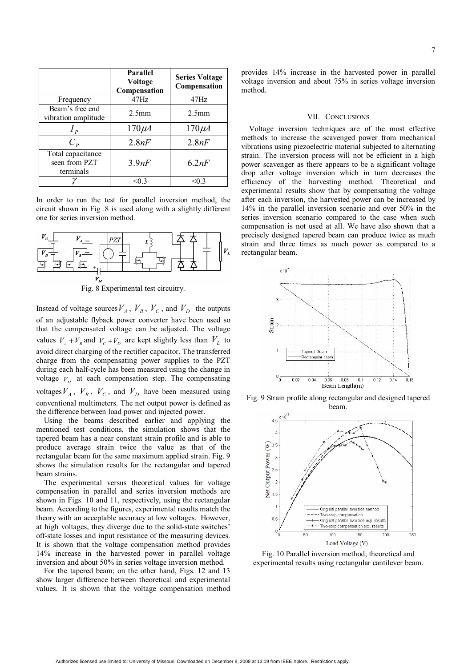|                                                 | Parallel<br>Voltage<br>Compensation | <b>Series Voltage</b><br>Compensation |
|-------------------------------------------------|-------------------------------------|---------------------------------------|
| Frequency                                       | $47$ Hz                             | 47Hz                                  |
| Beam's free end<br>vibration amplitude          | 2.5 <sub>mm</sub>                   | 2.5 <sub>mm</sub>                     |
| $I_p$                                           | $170 \mu A$                         | $170 \mu A$                           |
| $C_p$                                           | 2.8nF                               | 2.8nF                                 |
| Total capacitance<br>seen from PZT<br>terminals | 3.9nF                               | 6.2nF                                 |
|                                                 | < 0.3                               | < 0.3                                 |

In order to run the test for parallel inversion method, the circuit shown in Fig .8 is used along with a slightly different one for series inversion method.



Instead of voltage sources  $V_A$ ,  $V_B$ ,  $V_C$ , and  $V_D$  the outputs of an adjustable flyback power converter have been used so that the compensated voltage can be adjusted. The voltage values  $V_A + V_B$  and  $V_C + V_D$  are kept slightly less than  $V_L$  to avoid direct charging of the rectifier capacitor. The transferred charge from the compensating power supplies to the PZT during each half-cycle has been measured using the change in voltage  $V<sub>M</sub>$  at each compensation step. The compensating voltages  $V_A$ ,  $V_B$ ,  $V_C$ , and  $V_D$  have been measured using conventional multimeters. The net output power is defined as the difference between load power and injected power.

 Using the beams described earlier and applying the mentioned test conditions, the simulation shows that the tapered beam has a near constant strain profile and is able to produce average strain twice the value as that of the rectangular beam for the same maximum applied strain. Fig. 9 shows the simulation results for the rectangular and tapered beam strains.

 The experimental versus theoretical values for voltage compensation in parallel and series inversion methods are shown in Figs. 10 and 11, respectively, using the rectangular beam. According to the figures, experimental results match the theory with an acceptable accuracy at low voltages. However, at high voltages, they diverge due to the solid-state switches' off-state losses and input resistance of the measuring devices. It is shown that the voltage compensation method provides 14% increase in the harvested power in parallel voltage inversion and about 50% in series voltage inversion method.

 For the tapered beam; on the other hand, Figs. 12 and 13 show larger difference between theoretical and experimental values. It is shown that the voltage compensation method provides 14% increase in the harvested power in parallel voltage inversion and about 75% in series voltage inversion method.

#### VII. CONCLUSIONS

 Voltage inversion techniques are of the most effective methods to increase the scavenged power from mechanical vibrations using piezoelectric material subjected to alternating strain. The inversion process will not be efficient in a high power scavenger as there appears to be a significant voltage drop after voltage inversion which in turn decreases the efficiency of the harvesting method. Theoretical and experimental results show that by compensating the voltage after each inversion, the harvested power can be increased by 14% in the parallel inversion scenario and over 50% in the series inversion scenario compared to the case when such compensation is not used at all. We have also shown that a precisely designed tapered beam can produce twice as much strain and three times as much power as compared to a rectangular beam.



Fig. 9 Strain profile along rectangular and designed tapered beam.



Fig. 10 Parallel inversion method; theoretical and experimental results using rectangular cantilever beam.